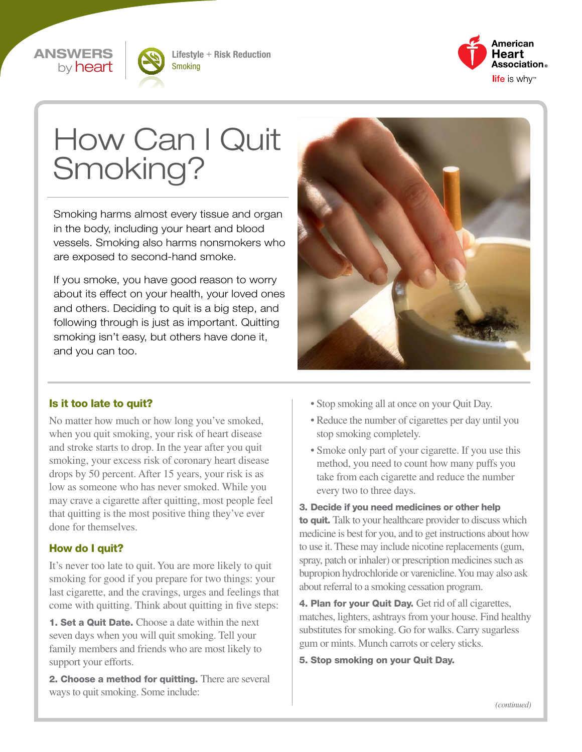#### ANSWERS by **heart**



Lifestyle + Risk Reduction Smoking



# How Can I Quit Smoking?

Smoking harms almost every tissue and organ in the body, including your heart and blood vessels. Smoking also harms nonsmokers who are exposed to second-hand smoke.

If you smoke, you have good reason to worry about its effect on your health, your loved ones and others. Deciding to quit is a big step, and following through is just as important. Quitting smoking isn't easy, but others have done it, and you can too.



#### Is it too late to quit?

No matter how much or how long you've smoked, when you quit smoking, your risk of heart disease and stroke starts to drop. In the year after you quit smoking, your excess risk of coronary heart disease drops by 50 percent. After 15 years, your risk is as low as someone who has never smoked. While you may crave a cigarette after quitting, most people feel that quitting is the most positive thing they've ever done for themselves.

#### How do I quit?

It's never too late to quit. You are more likely to quit smoking for good if you prepare for two things: your last cigarette, and the cravings, urges and feelings that come with quitting. Think about quitting in five steps:

**1. Set a Quit Date.** Choose a date within the next seven days when you will quit smoking. Tell your family members and friends who are most likely to support your efforts.

2. Choose a method for quitting. There are several ways to quit smoking. Some include:

- Stop smoking all at once on your Quit Day.
- Reduce the number of cigarettes per day until you stop smoking completely.
- Smoke only part of your cigarette. If you use this method, you need to count how many puffs you take from each cigarette and reduce the number every two to three days.

3. Decide if you need medicines or other help to quit. Talk to your healthcare provider to discuss which medicine is best for you, and to get instructions about how to use it. These may include nicotine replacements (gum, spray, patch or inhaler) or prescription medicines such as bupropion hydrochloride or varenicline. You may also ask about referral to a smoking cessation program.

4. Plan for your Quit Day. Get rid of all cigarettes, matches, lighters, ashtrays from your house. Find healthy substitutes for smoking. Go for walks. Carry sugarless gum or mints. Munch carrots or celery sticks.

5. Stop smoking on your Quit Day.